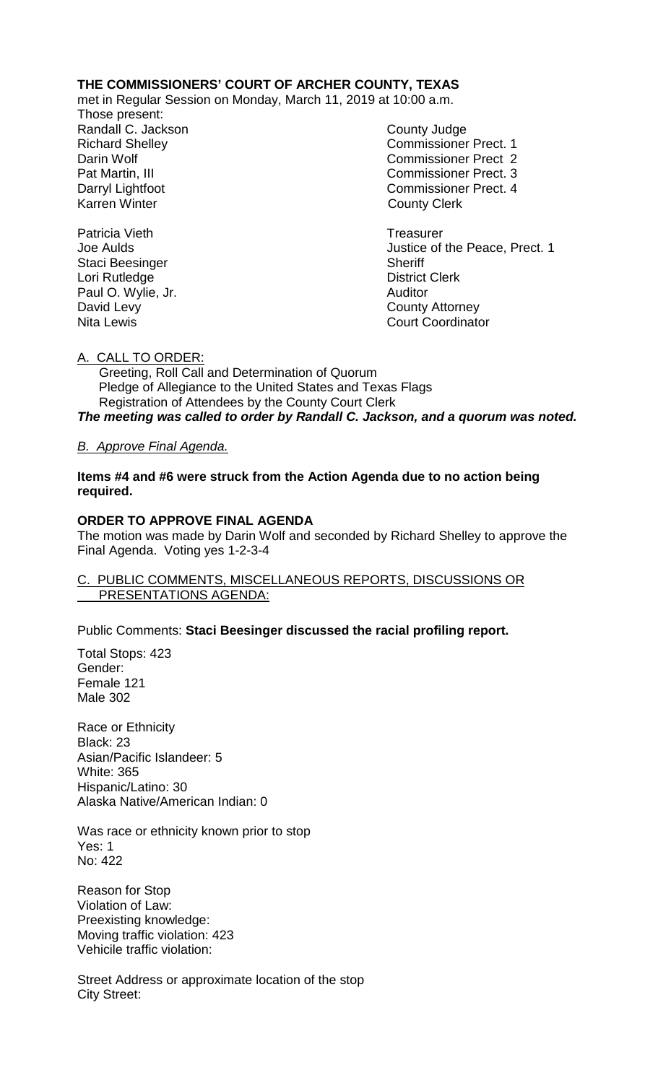### **THE COMMISSIONERS' COURT OF ARCHER COUNTY, TEXAS**

met in Regular Session on Monday, March 11, 2019 at 10:00 a.m.

Those present: Randall C. Jackson County Judge

Richard Shelley **Commissioner Prect. 1** Darin Wolf Commissioner Prect 2 Pat Martin, III Commissioner Prect. 3 Darryl Lightfoot **Commissioner Prect. 4**<br>
Karren Winter **County County Clerk County Clerk** 

Patricia Vieth **Treasurer** Treasurer Joe Aulds Justice of the Peace, Prect. 1 **Court Coordinator** 

Staci Beesinger Sheriff Lori Rutledge **District Clerk** Paul O. Wylie, Jr. **Auditor Paul O. Wylie, Jr. Auditor** David Levy<br>
Nita Lewis<br>
Nita Lewis

A. CALL TO ORDER:

 Greeting, Roll Call and Determination of Quorum Pledge of Allegiance to the United States and Texas Flags Registration of Attendees by the County Court Clerk *The meeting was called to order by Randall C. Jackson, and a quorum was noted.*

### *B. Approve Final Agenda.*

**Items #4 and #6 were struck from the Action Agenda due to no action being required.**

### **ORDER TO APPROVE FINAL AGENDA**

The motion was made by Darin Wolf and seconded by Richard Shelley to approve the Final Agenda. Voting yes 1-2-3-4

#### C. PUBLIC COMMENTS, MISCELLANEOUS REPORTS, DISCUSSIONS OR PRESENTATIONS AGENDA:

Public Comments: **Staci Beesinger discussed the racial profiling report.**

Total Stops: 423 Gender: Female 121 Male 302

Race or Ethnicity Black: 23 Asian/Pacific Islandeer: 5 White: 365 Hispanic/Latino: 30 Alaska Native/American Indian: 0

Was race or ethnicity known prior to stop Yes: 1 No: 422

Reason for Stop Violation of Law: Preexisting knowledge: Moving traffic violation: 423 Vehicile traffic violation:

Street Address or approximate location of the stop City Street: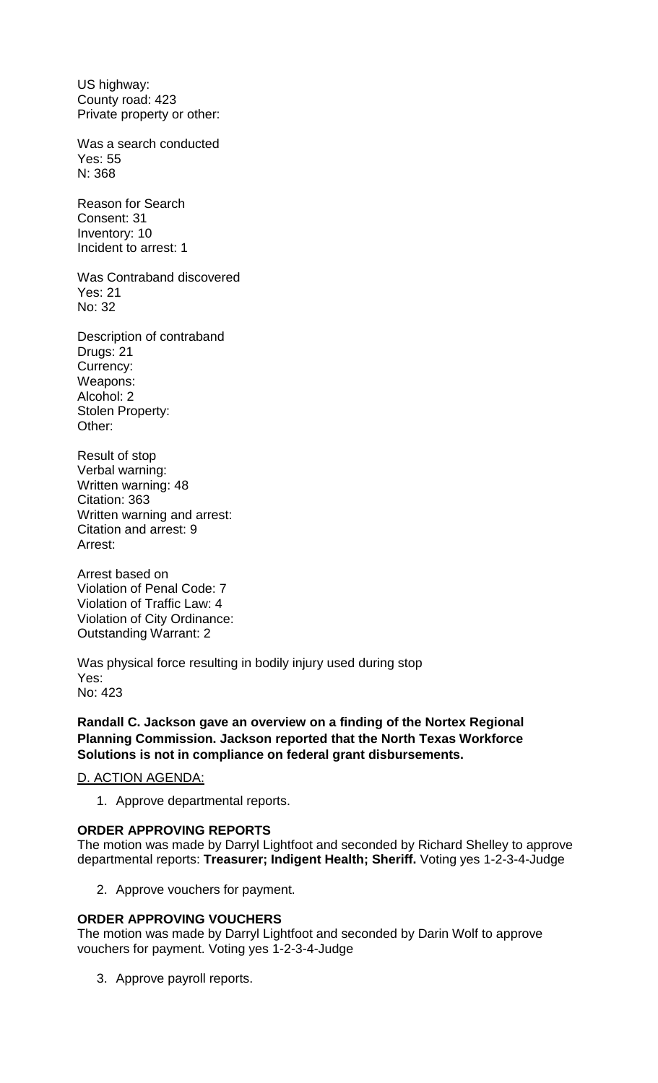US highway: County road: 423 Private property or other:

Was a search conducted Yes: 55 N: 368

Reason for Search Consent: 31 Inventory: 10 Incident to arrest: 1

Was Contraband discovered Yes: 21 No: 32

Description of contraband Drugs: 21 Currency: Weapons: Alcohol: 2 Stolen Property: Other:

Result of stop Verbal warning: Written warning: 48 Citation: 363 Written warning and arrest: Citation and arrest: 9 Arrest:

Arrest based on Violation of Penal Code: 7 Violation of Traffic Law: 4 Violation of City Ordinance: Outstanding Warrant: 2

Was physical force resulting in bodily injury used during stop Yes: No: 423

**Randall C. Jackson gave an overview on a finding of the Nortex Regional Planning Commission. Jackson reported that the North Texas Workforce Solutions is not in compliance on federal grant disbursements.** 

#### D. ACTION AGENDA:

1. Approve departmental reports.

#### **ORDER APPROVING REPORTS**

The motion was made by Darryl Lightfoot and seconded by Richard Shelley to approve departmental reports: **Treasurer; Indigent Health; Sheriff.** Voting yes 1-2-3-4-Judge

2. Approve vouchers for payment.

#### **ORDER APPROVING VOUCHERS**

The motion was made by Darryl Lightfoot and seconded by Darin Wolf to approve vouchers for payment. Voting yes 1-2-3-4-Judge

3. Approve payroll reports.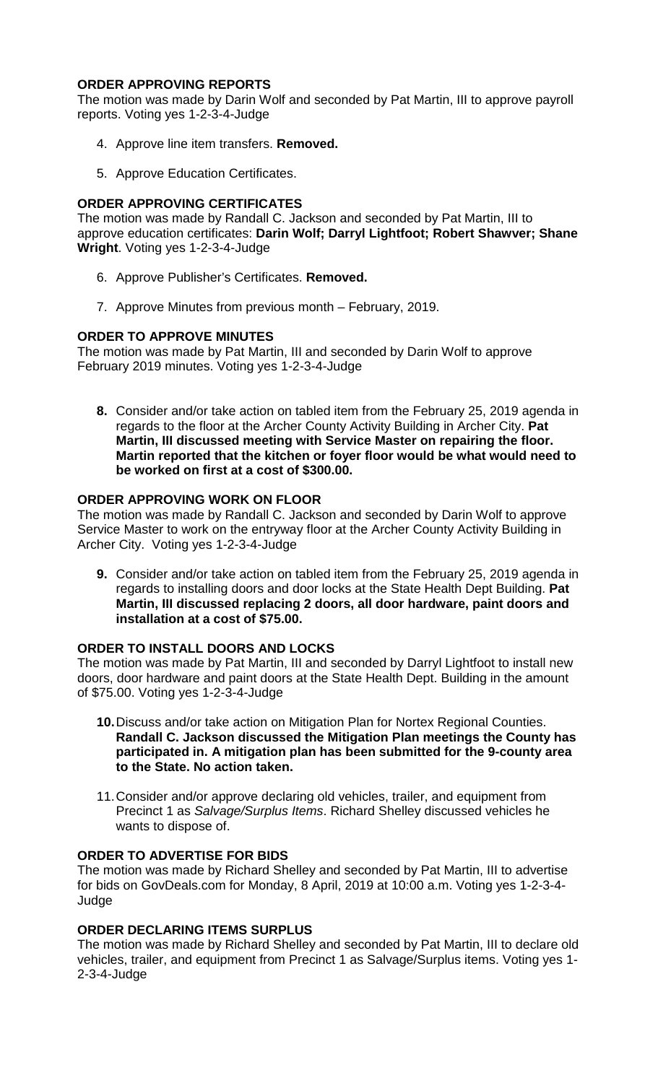# **ORDER APPROVING REPORTS**

The motion was made by Darin Wolf and seconded by Pat Martin, III to approve payroll reports. Voting yes 1-2-3-4-Judge

- 4. Approve line item transfers. **Removed.**
- 5. Approve Education Certificates.

# **ORDER APPROVING CERTIFICATES**

The motion was made by Randall C. Jackson and seconded by Pat Martin, III to approve education certificates: **Darin Wolf; Darryl Lightfoot; Robert Shawver; Shane Wright**. Voting yes 1-2-3-4-Judge

- 6. Approve Publisher's Certificates. **Removed.**
- 7. Approve Minutes from previous month February, 2019.

# **ORDER TO APPROVE MINUTES**

The motion was made by Pat Martin, III and seconded by Darin Wolf to approve February 2019 minutes. Voting yes 1-2-3-4-Judge

**8.** Consider and/or take action on tabled item from the February 25, 2019 agenda in regards to the floor at the Archer County Activity Building in Archer City. **Pat Martin, III discussed meeting with Service Master on repairing the floor. Martin reported that the kitchen or foyer floor would be what would need to be worked on first at a cost of \$300.00.**

# **ORDER APPROVING WORK ON FLOOR**

The motion was made by Randall C. Jackson and seconded by Darin Wolf to approve Service Master to work on the entryway floor at the Archer County Activity Building in Archer City. Voting yes 1-2-3-4-Judge

**9.** Consider and/or take action on tabled item from the February 25, 2019 agenda in regards to installing doors and door locks at the State Health Dept Building. **Pat Martin, III discussed replacing 2 doors, all door hardware, paint doors and installation at a cost of \$75.00.**

# **ORDER TO INSTALL DOORS AND LOCKS**

The motion was made by Pat Martin, III and seconded by Darryl Lightfoot to install new doors, door hardware and paint doors at the State Health Dept. Building in the amount of \$75.00. Voting yes 1-2-3-4-Judge

- **10.**Discuss and/or take action on Mitigation Plan for Nortex Regional Counties. **Randall C. Jackson discussed the Mitigation Plan meetings the County has participated in. A mitigation plan has been submitted for the 9-county area to the State. No action taken.**
- 11.Consider and/or approve declaring old vehicles, trailer, and equipment from Precinct 1 as *Salvage/Surplus Items*. Richard Shelley discussed vehicles he wants to dispose of.

# **ORDER TO ADVERTISE FOR BIDS**

The motion was made by Richard Shelley and seconded by Pat Martin, III to advertise for bids on GovDeals.com for Monday, 8 April, 2019 at 10:00 a.m. Voting yes 1-2-3-4- Judge

# **ORDER DECLARING ITEMS SURPLUS**

The motion was made by Richard Shelley and seconded by Pat Martin, III to declare old vehicles, trailer, and equipment from Precinct 1 as Salvage/Surplus items. Voting yes 1- 2-3-4-Judge